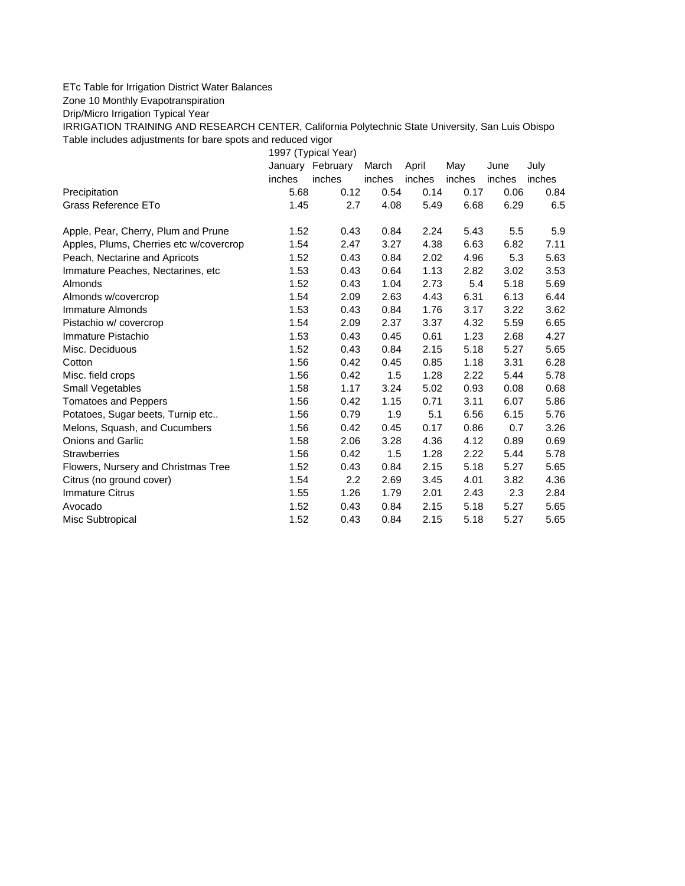## ETc Table for Irrigation District Water Balances

Zone 10 Monthly Evapotranspiration

Drip/Micro Irrigation Typical Year

IRRIGATION TRAINING AND RESEARCH CENTER, California Polytechnic State University, San Luis Obispo Table includes adjustments for bare spots and reduced vigor

1997 (Typical Year) January February March April May June July inches inches inches inches inches inches inches Precipitation 5.68 0.12 0.54 0.14 0.17 0.06 0.84 Grass Reference ETo **1.45** 2.7 4.08 5.49 6.68 6.29 6.5 Apple, Pear, Cherry, Plum and Prune 1.52 0.43 0.84 2.24 5.43 5.5 5.9 Apples, Plums, Cherries etc w/covercrop 1.54 2.47 3.27 4.38 6.63 6.82 7.11 Peach, Nectarine and Apricots 1.52 0.43 0.84 2.02 4.96 5.3 5.63 Immature Peaches, Nectarines, etc 1.53 0.43 0.64 1.13 2.82 3.02 3.53 Almonds 1.52 0.43 1.04 2.73 5.4 5.18 5.69 Almonds w/covercrop 1.54 2.09 2.63 4.43 6.31 6.13 6.44 Immature Almonds 1.53 0.43 0.84 1.76 3.17 3.22 3.62 Pistachio w/ covercrop 1.54 2.09 2.37 3.37 4.32 5.59 6.65 Immature Pistachio 1.53 0.43 0.45 0.61 1.23 2.68 4.27 Misc. Deciduous 1.52 0.43 0.84 2.15 5.18 5.27 5.65 Cotton 1.56 0.42 0.45 0.85 1.18 3.31 6.28 Misc. field crops 1.56 0.42 1.5 1.28 2.22 5.44 5.78 Small Vegetables 1.58 1.17 3.24 5.02 0.93 0.08 0.68 Tomatoes and Peppers 1.56 0.42 1.15 0.71 3.11 6.07 5.86

Potatoes, Sugar beets, Turnip etc.. <br>1.56 0.79 1.9 5.1 6.56 6.15 5.76 Melons, Squash, and Cucumbers 1.56 0.42 0.45 0.17 0.86 0.7 3.26 Onions and Garlic 1.58 2.06 3.28 4.36 4.12 0.89 0.69 Strawberries 1.56 0.42 1.5 1.28 2.22 5.44 5.78 Flowers, Nursery and Christmas Tree 1.52 0.43 0.84 2.15 5.18 5.27 5.65 Citrus (no ground cover) 1.54 2.2 2.69 3.45 4.01 3.82 4.36 Immature Citrus 1.55 1.26 1.79 2.01 2.43 2.3 2.84 Avocado 1.52 0.43 0.84 2.15 5.18 5.27 5.65 Misc Subtropical 1.52 0.43 0.84 2.15 5.18 5.27 5.65